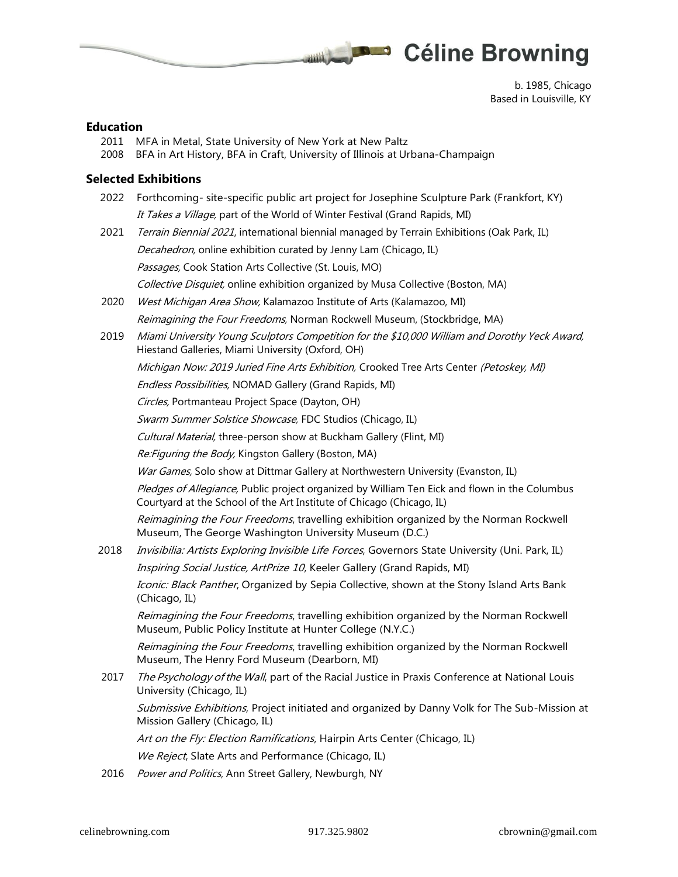

b. 1985, Chicago Based in Louisville, KY

#### **Education**

- 2011 MFA in Metal, State University of New York at New Paltz
- 2008 BFA in Art History, BFA in Craft, University of Illinois at Urbana-Champaign

### **Selected Exhibitions**

2022 Forthcoming- site-specific public art project for Josephine Sculpture Park (Frankfort, KY) It Takes a Village, part of the World of Winter Festival (Grand Rapids, MI)

Think the state of

2021 Terrain Biennial 2021, international biennial managed by Terrain Exhibitions (Oak Park, IL) Decahedron, online exhibition curated by Jenny Lam (Chicago, IL) Passages, Cook Station Arts Collective (St. Louis, MO)

Collective Disquiet, online exhibition organized by Musa Collective (Boston, MA)

- 2020 West Michigan Area Show, Kalamazoo Institute of Arts (Kalamazoo, MI) Reimagining the Four Freedoms, Norman Rockwell Museum, (Stockbridge, MA)
- 2019 Miami University Young Sculptors Competition for the \$10,000 William and Dorothy Yeck Award, Hiestand Galleries, Miami University (Oxford, OH)

Michigan Now: 2019 Juried Fine Arts Exhibition, Crooked Tree Arts Center (Petoskey, MI)

Endless Possibilities, NOMAD Gallery (Grand Rapids, MI)

Circles, Portmanteau Project Space (Dayton, OH)

Swarm Summer Solstice Showcase, FDC Studios (Chicago, IL)

Cultural Material, three-person show at Buckham Gallery (Flint, MI)

Re: Figuring the Body, Kingston Gallery (Boston, MA)

War Games, Solo show at Dittmar Gallery at Northwestern University (Evanston, IL)

Pledges of Allegiance, Public project organized by William Ten Eick and flown in the Columbus Courtyard at the School of the Art Institute of Chicago (Chicago, IL)

Reimagining the Four Freedoms, travelling exhibition organized by the Norman Rockwell Museum, The George Washington University Museum (D.C.)

2018 *Invisibilia: Artists Exploring Invisible Life Forces*, Governors State University (Uni. Park, IL)

Inspiring Social Justice, ArtPrize 10, Keeler Gallery (Grand Rapids, MI)

Iconic: Black Panther, Organized by Sepia Collective, shown at the Stony Island Arts Bank (Chicago, IL)

Reimagining the Four Freedoms, travelling exhibition organized by the Norman Rockwell Museum, Public Policy Institute at Hunter College (N.Y.C.)

Reimagining the Four Freedoms, travelling exhibition organized by the Norman Rockwell Museum, The Henry Ford Museum (Dearborn, MI)

2017 The Psychology of the Wall, part of the Racial Justice in Praxis Conference at National Louis University (Chicago, IL)

Submissive Exhibitions, Project initiated and organized by Danny Volk for The Sub-Mission at Mission Gallery (Chicago, IL)

Art on the Fly: Election Ramifications, Hairpin Arts Center (Chicago, IL)

We Reject, Slate Arts and Performance (Chicago, IL)

2016 Power and Politics, Ann Street Gallery, Newburgh, NY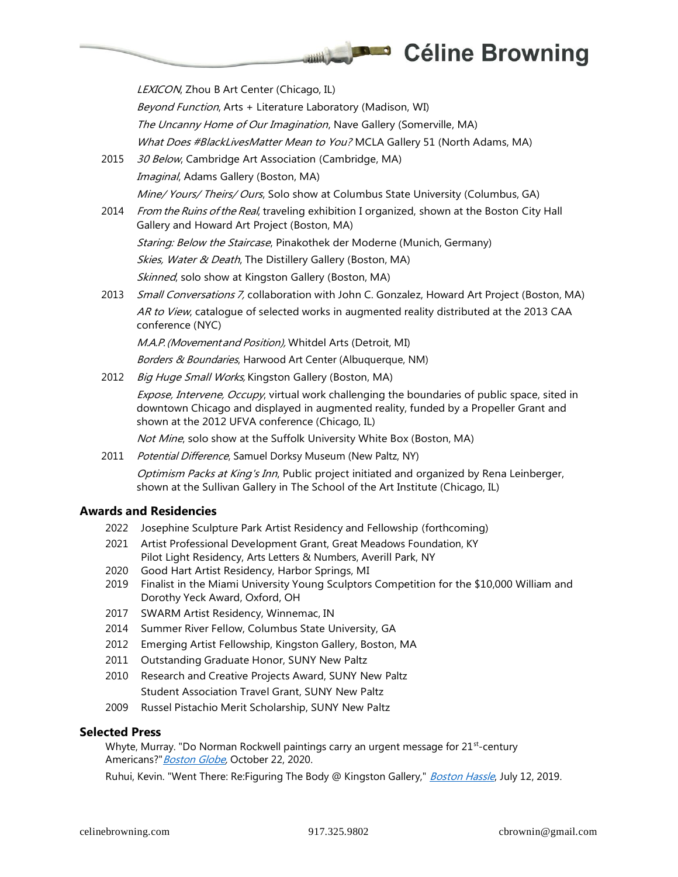LEXICON, Zhou B Art Center (Chicago, IL)

Beyond Function, Arts + Literature Laboratory (Madison, WI)

The Uncanny Home of Our Imagination, Nave Gallery (Somerville, MA)

What Does #BlackLivesMatter Mean to You? MCLA Gallery 51 (North Adams, MA)

 $\frac{1}{2}$ 

- 2015 30 Below, Cambridge Art Association (Cambridge, MA) Imaginal, Adams Gallery (Boston, MA) Mine/ Yours/ Theirs/ Ours, Solo show at Columbus State University (Columbus, GA)
- 2014 From the Ruins of the Real, traveling exhibition I organized, shown at the Boston City Hall Gallery and Howard Art Project (Boston, MA) Staring: Below the Staircase, Pinakothek der Moderne (Munich, Germany) Skies, Water & Death, The Distillery Gallery (Boston, MA) Skinned, solo show at Kingston Gallery (Boston, MA)
- 2013 Small Conversations 7, collaboration with John C. Gonzalez, Howard Art Project (Boston, MA) AR to View, catalogue of selected works in augmented reality distributed at the 2013 CAA conference (NYC)

M.A.P.(Movementand Position), Whitdel Arts (Detroit, MI)

Borders & Boundaries, Harwood Art Center (Albuquerque, NM)

2012 Big Huge Small Works, Kingston Gallery (Boston, MA)

Expose, Intervene, Occupy, virtual work challenging the boundaries of public space, sited in downtown Chicago and displayed in augmented reality, funded by a Propeller Grant and shown at the 2012 UFVA conference (Chicago, IL)

Not Mine, solo show at the Suffolk University White Box (Boston, MA)

2011 Potential Difference, Samuel Dorksy Museum (New Paltz, NY)

Optimism Packs at King's Inn, Public project initiated and organized by Rena Leinberger, shown at the Sullivan Gallery in The School of the Art Institute (Chicago, IL)

## **Awards and Residencies**

- 2022 Josephine Sculpture Park Artist Residency and Fellowship (forthcoming)
- 2021 Artist Professional Development Grant, Great Meadows Foundation, KY Pilot Light Residency, Arts Letters & Numbers, Averill Park, NY
- 2020 Good Hart Artist Residency, Harbor Springs, MI
- 2019 Finalist in the Miami University Young Sculptors Competition for the \$10,000 William and Dorothy Yeck Award, Oxford, OH
- 2017 SWARM Artist Residency, Winnemac, IN
- 2014 Summer River Fellow, Columbus State University, GA
- 2012 Emerging Artist Fellowship, Kingston Gallery, Boston, MA
- 2011 Outstanding Graduate Honor, SUNY New Paltz
- 2010 Research and Creative Projects Award, SUNY New Paltz Student Association Travel Grant, SUNY New Paltz
- 2009 Russel Pistachio Merit Scholarship, SUNY New Paltz

## **Selected Press**

Whyte, Murray. "Do Norman Rockwell paintings carry an urgent message for 21<sup>st</sup>-century Americans?" [Boston Globe,](https://www.bostonglobe.com/2020/10/22/arts/does-norman-rockwell-carry-an-urgent-message-21st-century-america/) October 22, 2020.

Ruhui, Kevin. "Went There: Re:Figuring The Body @ Kingston Gallery," [Boston Hassle](http://bostonhassle.com/went-there-re-figuring-the-body-kingston-gallery), July 12, 2019.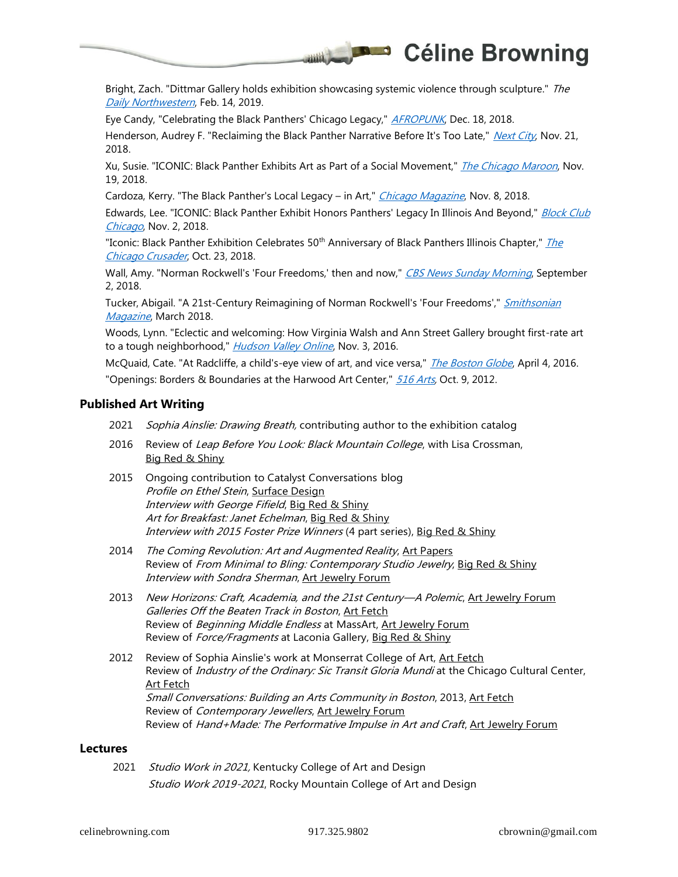

Bright, Zach. "Dittmar Gallery holds exhibition showcasing systemic violence through sculpture." The [Daily Northwestern](http://dailynorthwestern.com/2019/02/14/campus/dittmar-gallery-holds-exhibition-showcasing-systemic-violence-through-sculpture/), Feb. 14, 2019.

Eye Candy, "Celebrating the Black Panthers' Chicago Legacy," [AFROPUNK](http://afropunk.com/2018/12/THE-COMMUNITY-ART-EXHIBIT-THAT-CELEBRATES-THE-PANTHERS/), Dec. 18, 2018.

Henderson, Audrey F. "Reclaiming the Black Panther Narrative Before It's Too Late," [Next City](http://nextcity.org/daily/entry/reclaiming-the-black-panther-narrative-before-its-too-late), Nov. 21, 2018.

Xu, Susie. "ICONIC: Black Panther Exhibits Art as Part of a Social Movement," *[The Chicago Maroon](http://chicagomaroon.com/article/2018/11/20/iconic-black-panther-exhibits-art-part-social-move/)*, Nov. 19, 2018.

Cardoza, Kerry. "The Black Panther's Local Legacy – in Art," [Chicago Magazine](http://chicagomag.com/arts-culture/November-2018/Iconic-Black-Panther-Party-Illinois-Stony-Island/#/0), Nov. 8, 2018.

Edwards, Lee. "ICONIC: Black Panther Exhibit Honors Panthers' Legacy In Illinois And Beyond," Block Club [Chicago](http://blockclubchicago.org/2018/11/02/iconic-black-panther-exhibit-kicks-off-friday-honors-panthers-legacy-in-illinois-and-beyond/), Nov. 2, 2018.

"Iconic: Black Panther Exhibition Celebrates 50<sup>th</sup> Anniversary of Black Panthers Illinois Chapter," *The* [Chicago Crusader](http://chicagocrusader.com/iconic-black-panther-exhibition-celebrates-50th-anniversary-of-black-panthers-illinois-chapter/), Oct. 23, 2018.

Wall, Amy. "Norman Rockwell's 'Four Freedoms,' then and now," [CBS News Sunday Morning](http://cbsnews.com/news/norman-rockwells-four-freedoms-then-and-now/), September 2, 2018.

Tucker, Abigail. "A 21st-Century Reimagining of Norman Rockwell's 'Four Freedoms'," *Smithsonian* [Magazine](http://smithsonianmag.com/arts-culture/21st-century-reimagining-norman-rockwells-four-freedoms-180968086/), March 2018.

Woods, Lynn. "Eclectic and welcoming: How Virginia Walsh and Ann Street Gallery brought first-rate art to a tough neighborhood," *[Hudson Valley Online](http://hudsonvalleyone.com/2016/11/03/eclectic-and-welcoming-how-virginia-walsh-and-ann-street-gallery-brought-first-rate-art-to-a-tough-neighborhood/)*, Nov. 3, 2016.

McQuaid, Cate. "At Radcliffe, a child's-eye view of art, and vice versa," *[The Boston Globe](http://bostonglobe.com/arts/theater-art/2016/04/04/radcliffe-child-eye-view-art-and-vice-versa/FnVD8PLtMqAdXf53jTRDKO/story.html)*, April 4, 2016. "Openings: Borders & Boundaries at the Harwood Art Center," [516 Arts,](https://516arts.blogspot.com/2012/10/openings-borders-boundaries-at-harwood.html) Oct. 9, 2012.

## **Published Art Writing**

- 2021 Sophia Ainslie: Drawing Breath, contributing author to the exhibition catalog
- 2016 Review of Leap Before You Look: Black Mountain College, with Lisa Crossman, Big Red & Shiny
- 2015 Ongoing contribution to Catalyst Conversations blog Profile on Ethel Stein, Surface Design Interview with George Fifield, Big Red & Shiny Art for Breakfast: Janet Echelman, Big Red & Shiny Interview with 2015 Foster Prize Winners (4 part series), Big Red & Shiny
- 2014 The Coming Revolution: Art and Augmented Reality, Art Papers Review of From Minimal to Bling: Contemporary Studio Jewelry, Big Red & Shiny Interview with Sondra Sherman, Art Jewelry Forum
- 2013 New Horizons: Craft, Academia, and the 21st Century—A Polemic, Art Jewelry Forum Galleries Off the Beaten Track in Boston, Art Fetch Review of Beginning Middle Endless at MassArt, Art Jewelry Forum Review of Force/Fragments at Laconia Gallery, Big Red & Shiny
- 2012 Review of Sophia Ainslie's work at Monserrat College of Art, Art Fetch Review of *Industry of the Ordinary: Sic Transit Gloria Mundi* at the Chicago Cultural Center, Art Fetch Small Conversations: Building an Arts Community in Boston, 2013, Art Fetch Review of Contemporary Jewellers, Art Jewelry Forum Review of Hand+Made: The Performative Impulse in Art and Craft, Art Jewelry Forum

#### **Lectures**

2021 Studio Work in 2021, Kentucky College of Art and Design Studio Work 2019-2021, Rocky Mountain College of Art and Design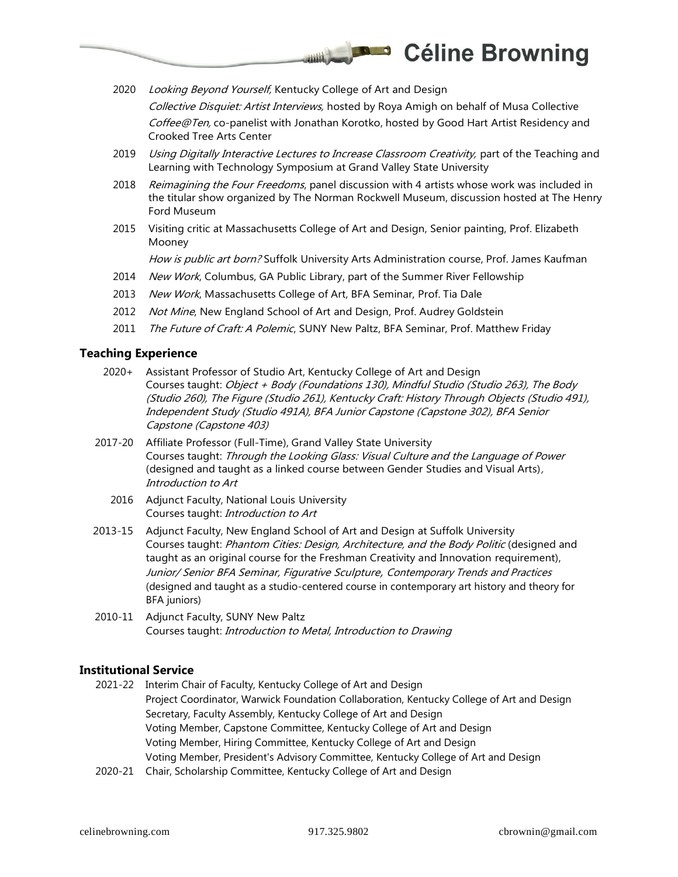2020 Looking Beyond Yourself, Kentucky College of Art and Design

Collective Disquiet: Artist Interviews, hosted by Roya Amigh on behalf of Musa Collective Coffee@Ten, co-panelist with Jonathan Korotko, hosted by Good Hart Artist Residency and Crooked Tree Arts Center

2019 Using Digitally Interactive Lectures to Increase Classroom Creativity, part of the Teaching and Learning with Technology Symposium at Grand Valley State University

 $\frac{1}{2}$ 

- 2018 Reimagining the Four Freedoms, panel discussion with 4 artists whose work was included in the titular show organized by The Norman Rockwell Museum, discussion hosted at The Henry Ford Museum
- 2015 Visiting critic at Massachusetts College of Art and Design, Senior painting, Prof. Elizabeth Mooney

How is public art born? Suffolk University Arts Administration course, Prof. James Kaufman

- 2014 New Work, Columbus, GA Public Library, part of the Summer River Fellowship
- 2013 New Work, Massachusetts College of Art, BFA Seminar, Prof. Tia Dale
- 2012 Not Mine, New England School of Art and Design, Prof. Audrey Goldstein
- 2011 The Future of Craft: A Polemic, SUNY New Paltz, BFA Seminar, Prof. Matthew Friday

## **Teaching Experience**

- 2020+ Assistant Professor of Studio Art, Kentucky College of Art and Design Courses taught: Object + Body (Foundations 130), Mindful Studio (Studio 263), The Body (Studio 260), The Figure (Studio 261), Kentucky Craft: History Through Objects (Studio 491), Independent Study (Studio 491A), BFA Junior Capstone (Capstone 302), BFA Senior Capstone (Capstone 403)
- 2017-20 Affiliate Professor (Full-Time), Grand Valley State University Courses taught: Through the Looking Glass: Visual Culture and the Language of Power (designed and taught as a linked course between Gender Studies and Visual Arts), Introduction to Art
	- 2016 Adjunct Faculty, National Louis University Courses taught: Introduction to Art
- 2013-15 Adjunct Faculty, New England School of Art and Design at Suffolk University Courses taught: Phantom Cities: Design, Architecture, and the Body Politic (designed and taught as an original course for the Freshman Creativity and Innovation requirement), Junior/ Senior BFA Seminar, Figurative Sculpture, Contemporary Trends and Practices (designed and taught as a studio-centered course in contemporary art history and theory for BFA juniors)
- 2010-11 Adjunct Faculty, SUNY New Paltz Courses taught: Introduction to Metal, Introduction to Drawing

## **Institutional Service**

- 2021-22 Interim Chair of Faculty, Kentucky College of Art and Design Project Coordinator, Warwick Foundation Collaboration, Kentucky College of Art and Design Secretary, Faculty Assembly, Kentucky College of Art and Design Voting Member, Capstone Committee, Kentucky College of Art and Design Voting Member, Hiring Committee, Kentucky College of Art and Design Voting Member, President's Advisory Committee, Kentucky College of Art and Design
- 2020-21 Chair, Scholarship Committee, Kentucky College of Art and Design